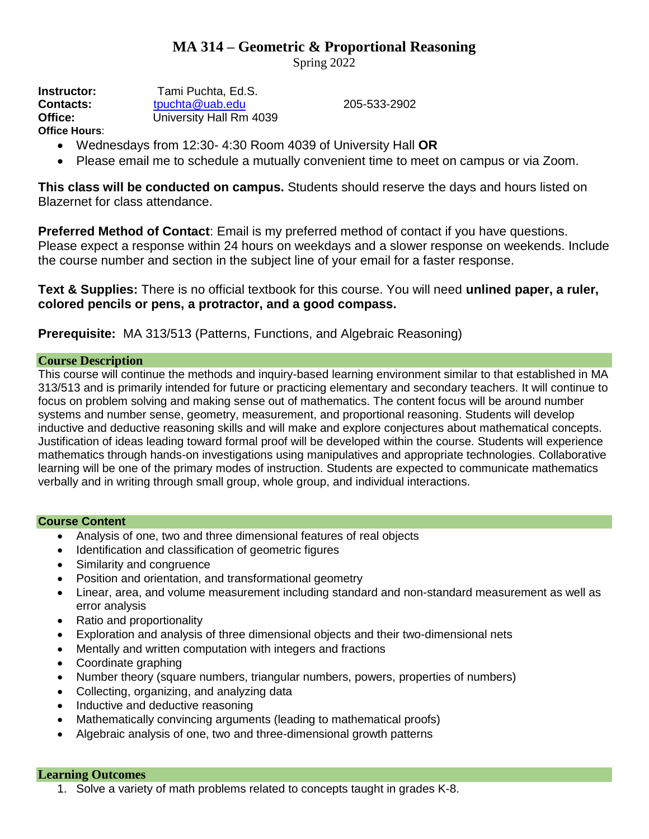# **MA 314 – Geometric & Proportional Reasoning**

Spring 2022

**Contacts:** [tpuchta@uab.edu](mailto:tpuchta@uab.edu) 205-533-2902

| Instructor:   | Tami Puchta, Ed.S.      |  |  |
|---------------|-------------------------|--|--|
| Contacts:     | tpuchta@uab.edu         |  |  |
| Office:       | University Hall Rm 4039 |  |  |
| Office Hours: |                         |  |  |

- Wednesdays from 12:30- 4:30 Room 4039 of University Hall **OR**
- Please email me to schedule a mutually convenient time to meet on campus or via Zoom.

**This class will be conducted on campus.** Students should reserve the days and hours listed on Blazernet for class attendance.

**Preferred Method of Contact**: Email is my preferred method of contact if you have questions. Please expect a response within 24 hours on weekdays and a slower response on weekends. Include the course number and section in the subject line of your email for a faster response.

**Text & Supplies:** There is no official textbook for this course. You will need **unlined paper, a ruler, colored pencils or pens, a protractor, and a good compass.** 

## **Prerequisite:** MA 313/513 (Patterns, Functions, and Algebraic Reasoning)

## **Course Description**

This course will continue the methods and inquiry-based learning environment similar to that established in MA 313/513 and is primarily intended for future or practicing elementary and secondary teachers. It will continue to focus on problem solving and making sense out of mathematics. The content focus will be around number systems and number sense, geometry, measurement, and proportional reasoning. Students will develop inductive and deductive reasoning skills and will make and explore conjectures about mathematical concepts. Justification of ideas leading toward formal proof will be developed within the course. Students will experience mathematics through hands-on investigations using manipulatives and appropriate technologies. Collaborative learning will be one of the primary modes of instruction. Students are expected to communicate mathematics verbally and in writing through small group, whole group, and individual interactions.

#### **Course Content**

- Analysis of one, two and three dimensional features of real objects
- Identification and classification of geometric figures
- Similarity and congruence
- Position and orientation, and transformational geometry
- Linear, area, and volume measurement including standard and non-standard measurement as well as error analysis
- Ratio and proportionality
- Exploration and analysis of three dimensional objects and their two-dimensional nets
- Mentally and written computation with integers and fractions
- Coordinate graphing
- Number theory (square numbers, triangular numbers, powers, properties of numbers)
- Collecting, organizing, and analyzing data
- Inductive and deductive reasoning
- Mathematically convincing arguments (leading to mathematical proofs)
- Algebraic analysis of one, two and three-dimensional growth patterns

## **Learning Outcomes**

1. Solve a variety of math problems related to concepts taught in grades K-8.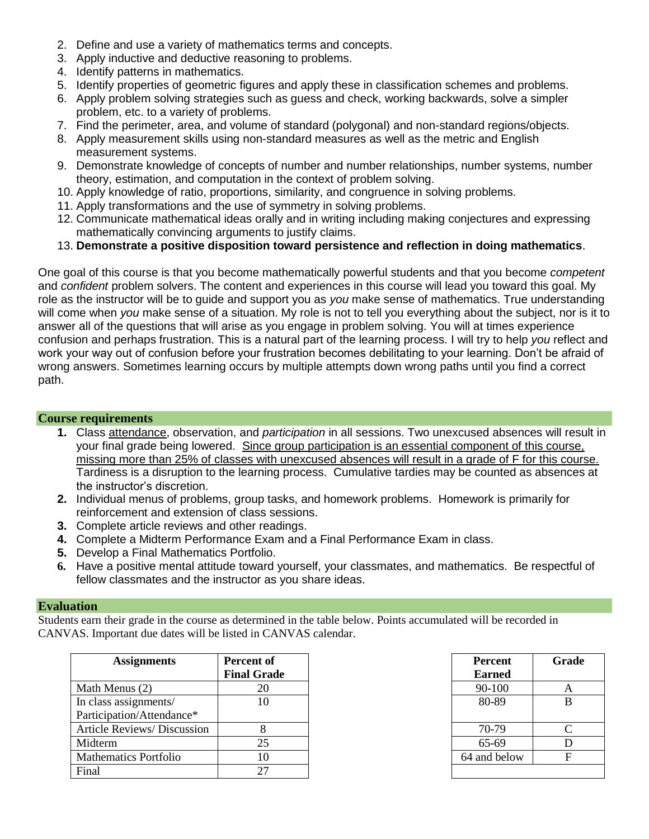- 2. Define and use a variety of mathematics terms and concepts.
- 3. Apply inductive and deductive reasoning to problems.
- 4. Identify patterns in mathematics.
- 5. Identify properties of geometric figures and apply these in classification schemes and problems.
- 6. Apply problem solving strategies such as guess and check, working backwards, solve a simpler problem, etc. to a variety of problems.
- 7. Find the perimeter, area, and volume of standard (polygonal) and non-standard regions/objects.
- 8. Apply measurement skills using non-standard measures as well as the metric and English measurement systems.
- 9. Demonstrate knowledge of concepts of number and number relationships, number systems, number theory, estimation, and computation in the context of problem solving.
- 10. Apply knowledge of ratio, proportions, similarity, and congruence in solving problems.
- 11. Apply transformations and the use of symmetry in solving problems.
- 12. Communicate mathematical ideas orally and in writing including making conjectures and expressing mathematically convincing arguments to justify claims.
- 13. **Demonstrate a positive disposition toward persistence and reflection in doing mathematics**.

One goal of this course is that you become mathematically powerful students and that you become *competent* and *confident* problem solvers. The content and experiences in this course will lead you toward this goal. My role as the instructor will be to guide and support you as *you* make sense of mathematics. True understanding will come when *you* make sense of a situation. My role is not to tell you everything about the subject, nor is it to answer all of the questions that will arise as you engage in problem solving. You will at times experience confusion and perhaps frustration. This is a natural part of the learning process. I will try to help *you* reflect and work your way out of confusion before your frustration becomes debilitating to your learning. Don't be afraid of wrong answers. Sometimes learning occurs by multiple attempts down wrong paths until you find a correct path.

## **Course requirements**

- **1.** Class attendance, observation, and *participation* in all sessions. Two unexcused absences will result in your final grade being lowered. Since group participation is an essential component of this course, missing more than 25% of classes with unexcused absences will result in a grade of F for this course. Tardiness is a disruption to the learning process. Cumulative tardies may be counted as absences at the instructor's discretion.
- **2.** Individual menus of problems, group tasks, and homework problems. Homework is primarily for reinforcement and extension of class sessions.
- **3.** Complete article reviews and other readings.
- **4.** Complete a Midterm Performance Exam and a Final Performance Exam in class.
- **5.** Develop a Final Mathematics Portfolio.
- **6.** Have a positive mental attitude toward yourself, your classmates, and mathematics. Be respectful of fellow classmates and the instructor as you share ideas.

#### **Evaluation**

Students earn their grade in the course as determined in the table below. Points accumulated will be recorded in CANVAS. Important due dates will be listed in CANVAS calendar.

| <b>Assignments</b>                 | <b>Percent of</b><br><b>Final Grade</b> | Percent<br><b>Earned</b> | Gra |
|------------------------------------|-----------------------------------------|--------------------------|-----|
| Math Menus (2)                     | 20                                      | 90-100                   | A   |
| In class assignments/              | 10                                      | 80-89                    | B   |
| Participation/Attendance*          |                                         |                          |     |
| <b>Article Reviews/ Discussion</b> |                                         | 70-79                    |     |
| Midterm                            | 25                                      | 65-69                    | D   |
| <b>Mathematics Portfolio</b>       | 10                                      | 64 and below             | F   |
| Final                              | 27                                      |                          |     |

| t of<br>Frade  | <b>Percent</b><br><b>Earned</b> | Grade |
|----------------|---------------------------------|-------|
| 20             | 90-100                          |       |
| 10             | 80-89                           | В     |
|                |                                 |       |
| 8              | 70-79                           |       |
| 25             | 65-69                           |       |
| 10             | 64 and below                    |       |
| $\overline{2}$ |                                 |       |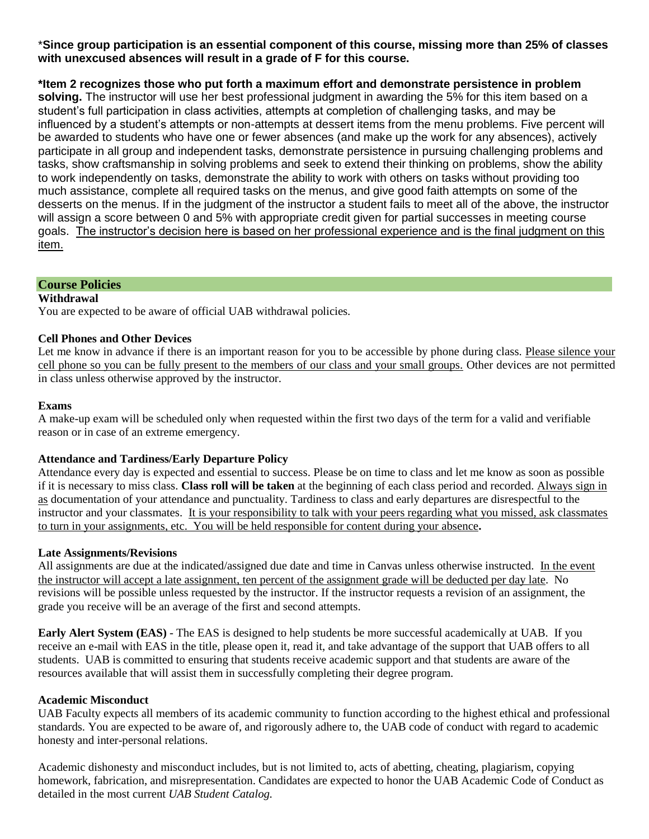#### \***Since group participation is an essential component of this course, missing more than 25% of classes with unexcused absences will result in a grade of F for this course.**

## **\*Item 2 recognizes those who put forth a maximum effort and demonstrate persistence in problem**

**solving.** The instructor will use her best professional judgment in awarding the 5% for this item based on a student's full participation in class activities, attempts at completion of challenging tasks, and may be influenced by a student's attempts or non-attempts at dessert items from the menu problems. Five percent will be awarded to students who have one or fewer absences (and make up the work for any absences), actively participate in all group and independent tasks, demonstrate persistence in pursuing challenging problems and tasks, show craftsmanship in solving problems and seek to extend their thinking on problems, show the ability to work independently on tasks, demonstrate the ability to work with others on tasks without providing too much assistance, complete all required tasks on the menus, and give good faith attempts on some of the desserts on the menus. If in the judgment of the instructor a student fails to meet all of the above, the instructor will assign a score between 0 and 5% with appropriate credit given for partial successes in meeting course goals. The instructor's decision here is based on her professional experience and is the final judgment on this item.

#### **Course Policies**

#### **Withdrawal**

You are expected to be aware of official UAB withdrawal policies.

#### **Cell Phones and Other Devices**

Let me know in advance if there is an important reason for you to be accessible by phone during class. Please silence your cell phone so you can be fully present to the members of our class and your small groups. Other devices are not permitted in class unless otherwise approved by the instructor.

#### **Exams**

A make-up exam will be scheduled only when requested within the first two days of the term for a valid and verifiable reason or in case of an extreme emergency.

#### **Attendance and Tardiness/Early Departure Policy**

Attendance every day is expected and essential to success. Please be on time to class and let me know as soon as possible if it is necessary to miss class. **Class roll will be taken** at the beginning of each class period and recorded. Always sign in as documentation of your attendance and punctuality. Tardiness to class and early departures are disrespectful to the instructor and your classmates. It is your responsibility to talk with your peers regarding what you missed, ask classmates to turn in your assignments, etc. You will be held responsible for content during your absence**.** 

#### **Late Assignments/Revisions**

All assignments are due at the indicated/assigned due date and time in Canvas unless otherwise instructed. In the event the instructor will accept a late assignment, ten percent of the assignment grade will be deducted per day late. No revisions will be possible unless requested by the instructor. If the instructor requests a revision of an assignment, the grade you receive will be an average of the first and second attempts.

**Early Alert System (EAS)** - The EAS is designed to help students be more successful academically at UAB. If you receive an e-mail with EAS in the title, please open it, read it, and take advantage of the support that UAB offers to all students. UAB is committed to ensuring that students receive academic support and that students are aware of the resources available that will assist them in successfully completing their degree program.

#### **Academic Misconduct**

UAB Faculty expects all members of its academic community to function according to the highest ethical and professional standards. You are expected to be aware of, and rigorously adhere to, the UAB code of conduct with regard to academic honesty and inter-personal relations.

Academic dishonesty and misconduct includes, but is not limited to, acts of abetting, cheating, plagiarism, copying homework, fabrication, and misrepresentation. Candidates are expected to honor the UAB Academic Code of Conduct as detailed in the most current *UAB Student Catalog.*